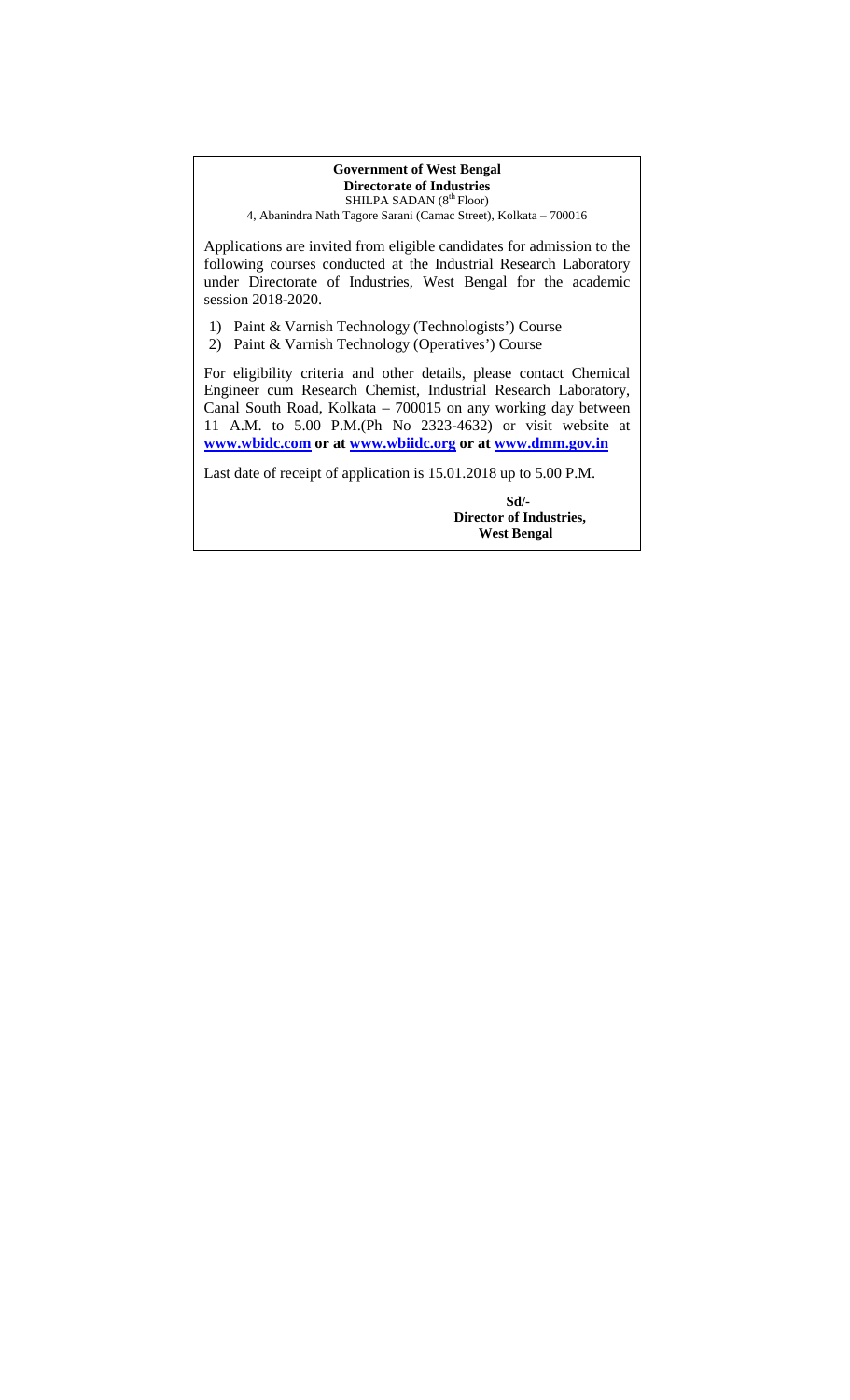#### **Government of West Bengal Directorate of Industries**  SHILPA SADAN (8<sup>th</sup> Floor)

4, Abanindra Nath Tagore Sarani (Camac Street), Kolkata – 700016

Applications are invited from eligible candidates for admission to the following courses conducted at the Industrial Research Laboratory under Directorate of Industries, West Bengal for the academic session 2018-2020.

1) Paint & Varnish Technology (Technologists') Course

2) Paint & Varnish Technology (Operatives') Course

For eligibility criteria and other details, please contact Chemical Engineer cum Research Chemist, Industrial Research Laboratory, Canal South Road, Kolkata – 700015 on any working day between 11 A.M. to 5.00 P.M.(Ph No 2323-4632) or visit website at **www.wbidc.com or at www.wbiidc.org or at www.dmm.gov.in**

Last date of receipt of application is 15.01.2018 up to 5.00 P.M.

 **Sd/- Director of Industries, West Bengal**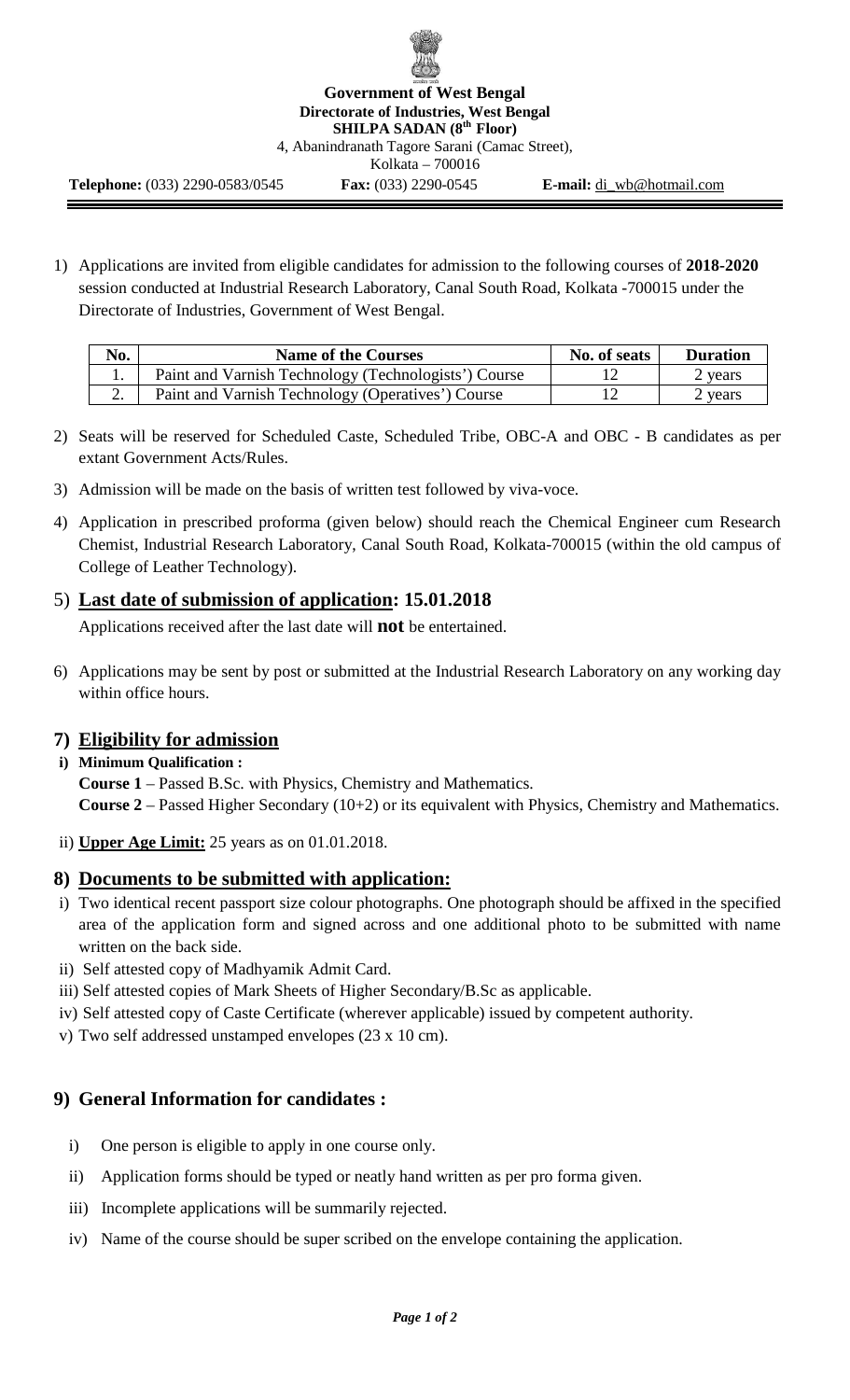

**Government of West Bengal Directorate of Industries, West Bengal SHILPA SADAN (8th Floor)**  4, Abanindranath Tagore Sarani (Camac Street), Kolkata – 700016

**Telephone:** (033) 2290-0583/0545 **Fax:** (033) 2290-0545 **E-mail:** di\_wb@hotmail.com

1) Applications are invited from eligible candidates for admission to the following courses of **2018-2020**  session conducted at Industrial Research Laboratory, Canal South Road, Kolkata -700015 under the Directorate of Industries, Government of West Bengal.

| No. | <b>Name of the Courses</b>                           | No. of seats | <b>Duration</b>    |
|-----|------------------------------------------------------|--------------|--------------------|
|     | Paint and Varnish Technology (Technologists') Course |              | ? years            |
| ∠.  | Paint and Varnish Technology (Operatives') Course    |              | <sup>o</sup> years |

- 2) Seats will be reserved for Scheduled Caste, Scheduled Tribe, OBC-A and OBC B candidates as per extant Government Acts/Rules.
- 3) Admission will be made on the basis of written test followed by viva-voce.
- 4) Application in prescribed proforma (given below) should reach the Chemical Engineer cum Research Chemist, Industrial Research Laboratory, Canal South Road, Kolkata-700015 (within the old campus of College of Leather Technology).

# 5) **Last date of submission of application: 15.01.2018**

Applications received after the last date will **not** be entertained.

6) Applications may be sent by post or submitted at the Industrial Research Laboratory on any working day within office hours.

# **7) Eligibility for admission**

#### **i) Minimum Qualification :**

**Course 1** – Passed B.Sc. with Physics, Chemistry and Mathematics. **Course 2** – Passed Higher Secondary (10+2) or its equivalent with Physics, Chemistry and Mathematics.

ii) **Upper Age Limit:** 25 years as on 01.01.2018.

### **8) Documents to be submitted with application:**

- i) Two identical recent passport size colour photographs. One photograph should be affixed in the specified area of the application form and signed across and one additional photo to be submitted with name written on the back side.
- ii) Self attested copy of Madhyamik Admit Card.
- iii) Self attested copies of Mark Sheets of Higher Secondary/B.Sc as applicable.
- iv) Self attested copy of Caste Certificate (wherever applicable) issued by competent authority.
- v) Two self addressed unstamped envelopes (23 x 10 cm).

# **9) General Information for candidates :**

- i) One person is eligible to apply in one course only.
- ii) Application forms should be typed or neatly hand written as per pro forma given.
- iii) Incomplete applications will be summarily rejected.
- iv) Name of the course should be super scribed on the envelope containing the application.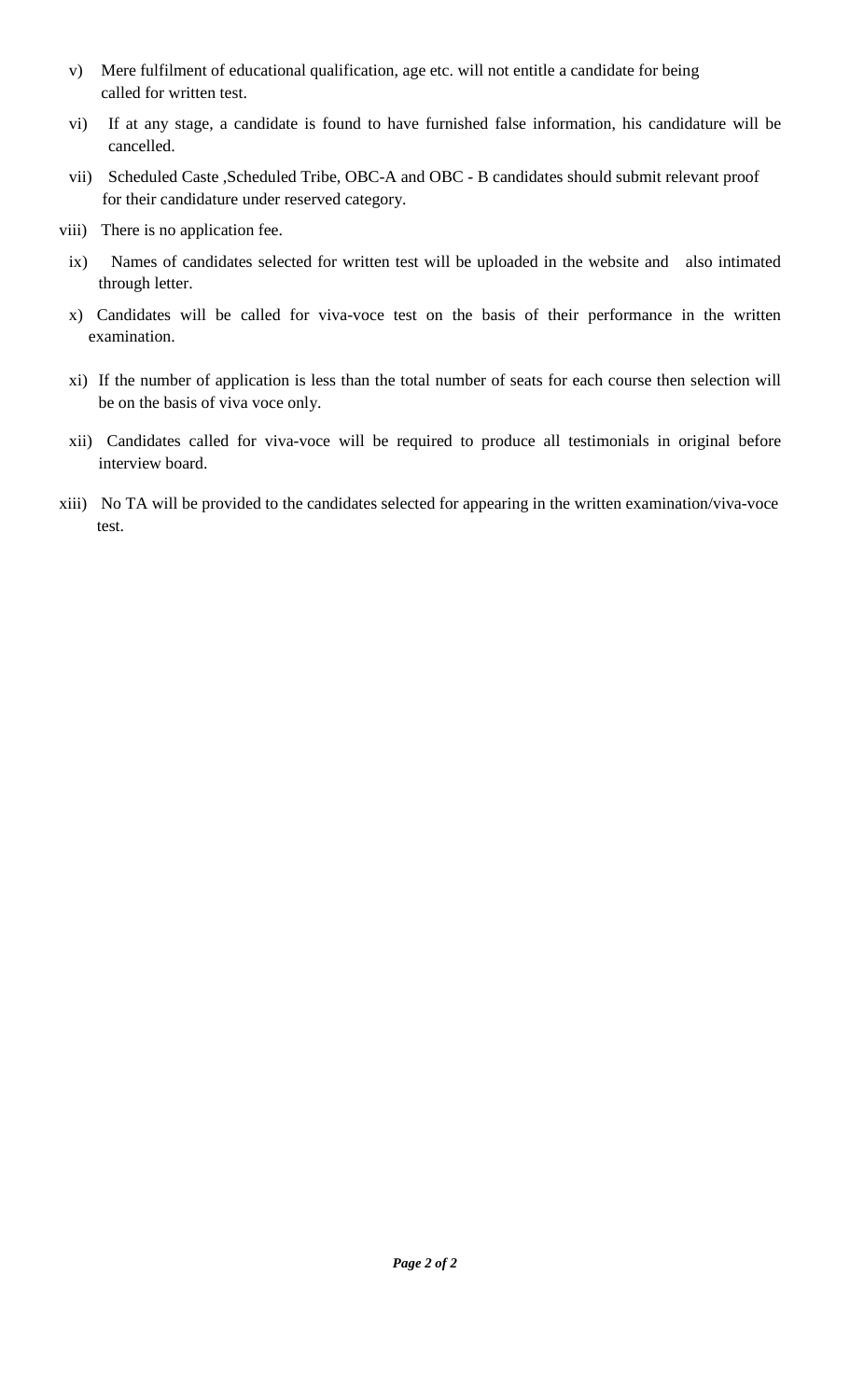- v) Mere fulfilment of educational qualification, age etc. will not entitle a candidate for being called for written test.
- vi) If at any stage, a candidate is found to have furnished false information, his candidature will be cancelled.
- vii) Scheduled Caste ,Scheduled Tribe, OBC-A and OBC B candidates should submit relevant proof for their candidature under reserved category.
- viii) There is no application fee.
	- ix) Names of candidates selected for written test will be uploaded in the website and also intimated through letter.
	- x) Candidates will be called for viva-voce test on the basis of their performance in the written examination.
	- xi) If the number of application is less than the total number of seats for each course then selection will be on the basis of viva voce only.
	- xii) Candidates called for viva-voce will be required to produce all testimonials in original before interview board.
- xiii) No TA will be provided to the candidates selected for appearing in the written examination/viva-voce test.